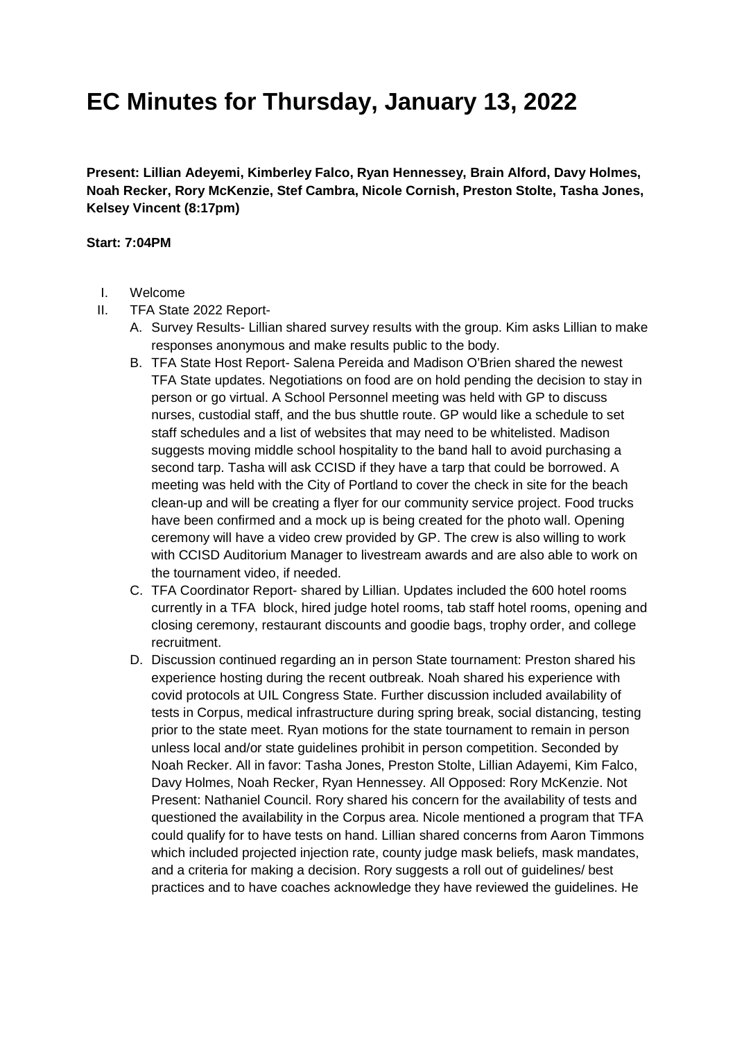**Present: Lillian Adeyemi, Kimberley Falco, Ryan Hennessey, Brain Alford, Davy Holmes, Noah Recker, Rory McKenzie, Stef Cambra, Nicole Cornish, Preston Stolte, Tasha Jones, Kelsey Vincent (8:17pm)** 

#### **Start: 7:04PM**

- I. Welcome
- II. TFA State 2022 Report-
	- A. Survey Results- Lillian shared survey results with the group. Kim asks Lillian to make responses anonymous and make results public to the body.
	- B. TFA State Host Report- Salena Pereida and Madison O'Brien shared the newest TFA State updates. Negotiations on food are on hold pending the decision to stay in person or go virtual. A School Personnel meeting was held with GP to discuss nurses, custodial staff, and the bus shuttle route. GP would like a schedule to set staff schedules and a list of websites that may need to be whitelisted. Madison suggests moving middle school hospitality to the band hall to avoid purchasing a second tarp. Tasha will ask CCISD if they have a tarp that could be borrowed. A meeting was held with the City of Portland to cover the check in site for the beach clean-up and will be creating a flyer for our community service project. Food trucks have been confirmed and a mock up is being created for the photo wall. Opening ceremony will have a video crew provided by GP. The crew is also willing to work with CCISD Auditorium Manager to livestream awards and are also able to work on the tournament video, if needed.
	- C. TFA Coordinator Report- shared by Lillian. Updates included the 600 hotel rooms currently in a TFA block, hired judge hotel rooms, tab staff hotel rooms, opening and closing ceremony, restaurant discounts and goodie bags, trophy order, and college recruitment.
	- D. Discussion continued regarding an in person State tournament: Preston shared his experience hosting during the recent outbreak. Noah shared his experience with covid protocols at UIL Congress State. Further discussion included availability of tests in Corpus, medical infrastructure during spring break, social distancing, testing prior to the state meet. Ryan motions for the state tournament to remain in person unless local and/or state guidelines prohibit in person competition. Seconded by Noah Recker. All in favor: Tasha Jones, Preston Stolte, Lillian Adayemi, Kim Falco, Davy Holmes, Noah Recker, Ryan Hennessey. All Opposed: Rory McKenzie. Not Present: Nathaniel Council. Rory shared his concern for the availability of tests and questioned the availability in the Corpus area. Nicole mentioned a program that TFA could qualify for to have tests on hand. Lillian shared concerns from Aaron Timmons which included projected injection rate, county judge mask beliefs, mask mandates, and a criteria for making a decision. Rory suggests a roll out of guidelines/ best practices and to have coaches acknowledge they have reviewed the guidelines. He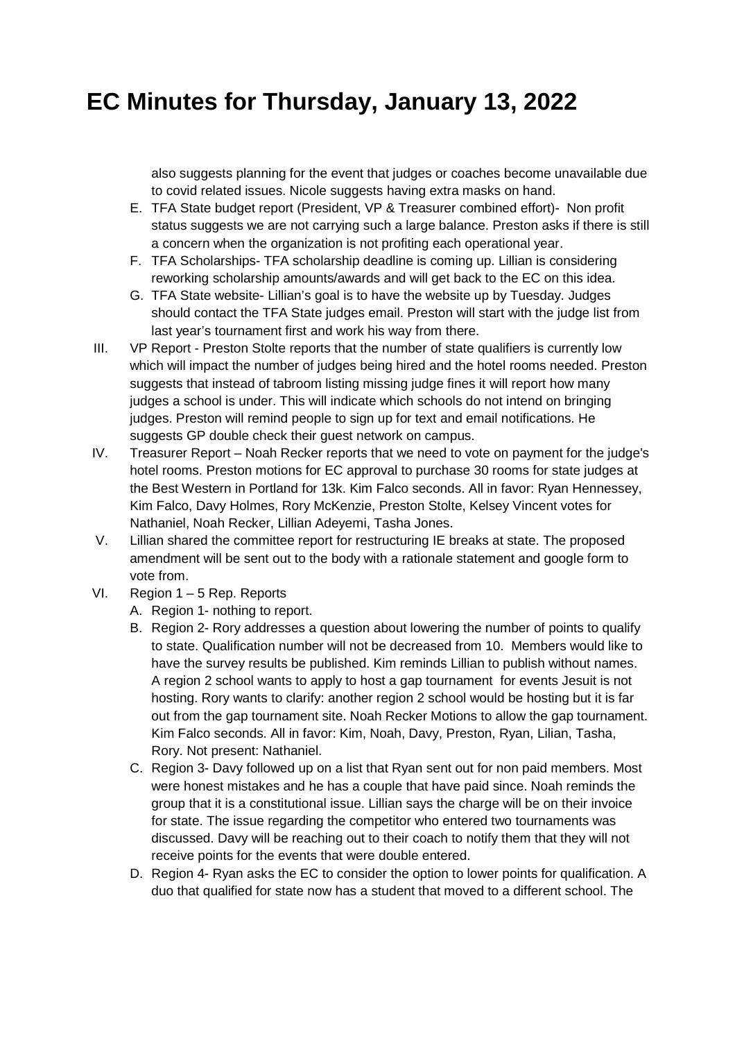also suggests planning for the event that judges or coaches become unavailable due to covid related issues. Nicole suggests having extra masks on hand.

- E. TFA State budget report (President, VP & Treasurer combined effort)- Non profit status suggests we are not carrying such a large balance. Preston asks if there is still a concern when the organization is not profiting each operational year.
- F. TFA Scholarships- TFA scholarship deadline is coming up. Lillian is considering reworking scholarship amounts/awards and will get back to the EC on this idea.
- G. TFA State website- Lillian's goal is to have the website up by Tuesday. Judges should contact the TFA State judges email. Preston will start with the judge list from last year's tournament first and work his way from there.
- III. VP Report Preston Stolte reports that the number of state qualifiers is currently low which will impact the number of judges being hired and the hotel rooms needed. Preston suggests that instead of tabroom listing missing judge fines it will report how many judges a school is under. This will indicate which schools do not intend on bringing judges. Preston will remind people to sign up for text and email notifications. He suggests GP double check their guest network on campus.
- IV. Treasurer Report Noah Recker reports that we need to vote on payment for the judge's hotel rooms. Preston motions for EC approval to purchase 30 rooms for state judges at the Best Western in Portland for 13k. Kim Falco seconds. All in favor: Ryan Hennessey, Kim Falco, Davy Holmes, Rory McKenzie, Preston Stolte, Kelsey Vincent votes for Nathaniel, Noah Recker, Lillian Adeyemi, Tasha Jones.
- V. Lillian shared the committee report for restructuring IE breaks at state. The proposed amendment will be sent out to the body with a rationale statement and google form to vote from.
- VI. Region 1 5 Rep. Reports
	- A. Region 1- nothing to report.
	- B. Region 2- Rory addresses a question about lowering the number of points to qualify to state. Qualification number will not be decreased from 10. Members would like to have the survey results be published. Kim reminds Lillian to publish without names. A region 2 school wants to apply to host a gap tournament for events Jesuit is not hosting. Rory wants to clarify: another region 2 school would be hosting but it is far out from the gap tournament site. Noah Recker Motions to allow the gap tournament. Kim Falco seconds. All in favor: Kim, Noah, Davy, Preston, Ryan, Lilian, Tasha, Rory. Not present: Nathaniel.
	- C. Region 3- Davy followed up on a list that Ryan sent out for non paid members. Most were honest mistakes and he has a couple that have paid since. Noah reminds the group that it is a constitutional issue. Lillian says the charge will be on their invoice for state. The issue regarding the competitor who entered two tournaments was discussed. Davy will be reaching out to their coach to notify them that they will not receive points for the events that were double entered.
	- D. Region 4- Ryan asks the EC to consider the option to lower points for qualification. A duo that qualified for state now has a student that moved to a different school. The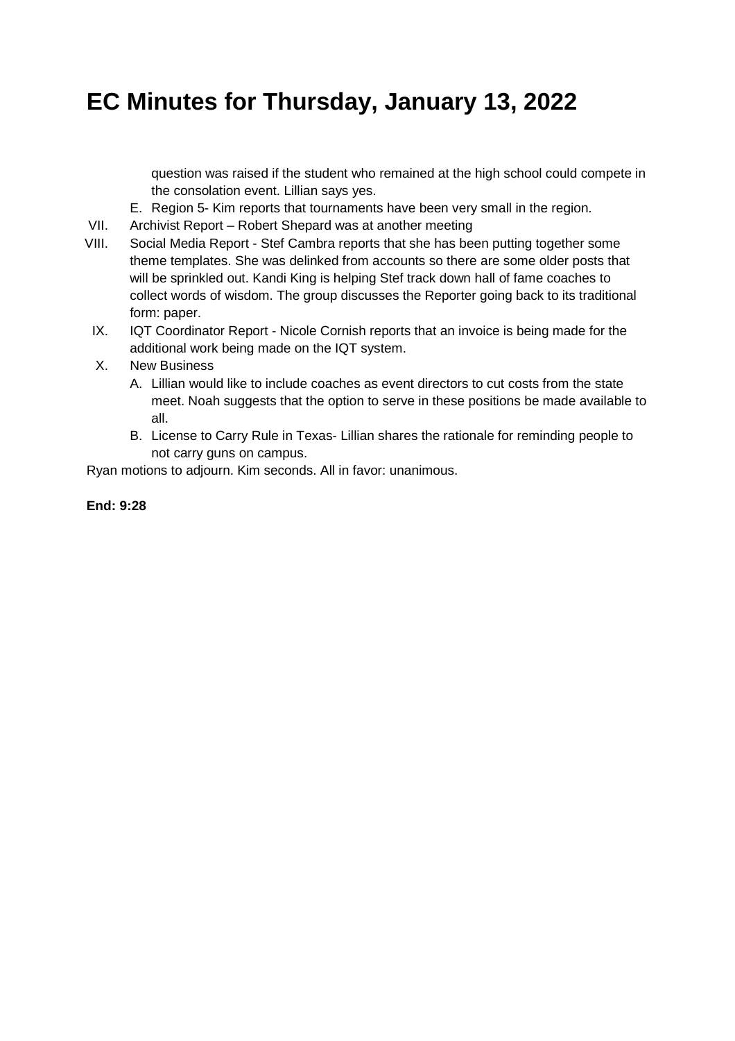question was raised if the student who remained at the high school could compete in the consolation event. Lillian says yes.

- E. Region 5- Kim reports that tournaments have been very small in the region.
- VII. Archivist Report Robert Shepard was at another meeting
- VIII. Social Media Report Stef Cambra reports that she has been putting together some theme templates. She was delinked from accounts so there are some older posts that will be sprinkled out. Kandi King is helping Stef track down hall of fame coaches to collect words of wisdom. The group discusses the Reporter going back to its traditional form: paper.
	- IX. IQT Coordinator Report Nicole Cornish reports that an invoice is being made for the additional work being made on the IQT system.
	- X. New Business
		- A. Lillian would like to include coaches as event directors to cut costs from the state meet. Noah suggests that the option to serve in these positions be made available to all.
		- B. License to Carry Rule in Texas- Lillian shares the rationale for reminding people to not carry guns on campus.

Ryan motions to adjourn. Kim seconds. All in favor: unanimous.

#### **End: 9:28**